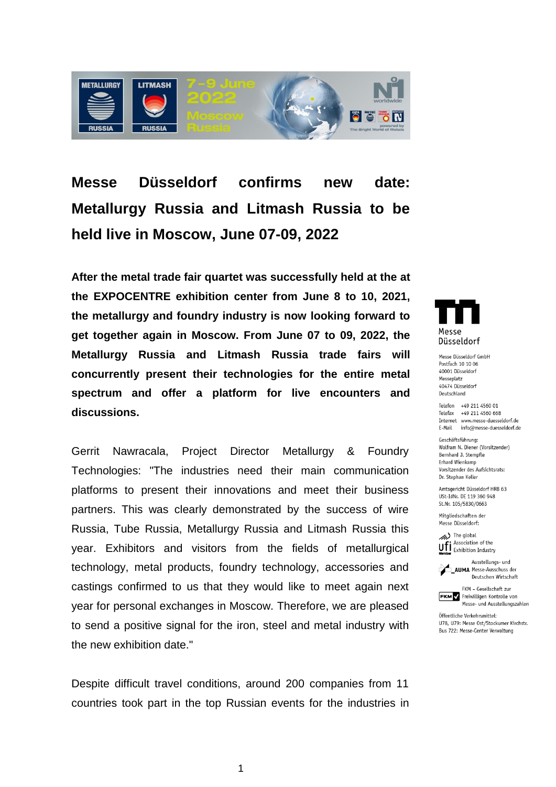

**Messe Düsseldorf confirms new date: Metallurgy Russia and Litmash Russia to be held live in Moscow, June 07-09, 2022**

**After the metal trade fair quartet was successfully held at the at the EXPOCENTRE exhibition center from June 8 to 10, 2021, the metallurgy and foundry industry is now looking forward to get together again in Moscow. From June 07 to 09, 2022, the Metallurgy Russia and Litmash Russia trade fairs will concurrently present their technologies for the entire metal spectrum and offer a platform for live encounters and discussions.** 

Gerrit Nawracala, Project Director Metallurgy & Foundry Technologies: "The industries need their main communication platforms to present their innovations and meet their business partners. This was clearly demonstrated by the success of wire Russia, Tube Russia, Metallurgy Russia and Litmash Russia this year. Exhibitors and visitors from the fields of metallurgical technology, metal products, foundry technology, accessories and castings confirmed to us that they would like to meet again next year for personal exchanges in Moscow. Therefore, we are pleased to send a positive signal for the iron, steel and metal industry with the new exhibition date."

Despite difficult travel conditions, around 200 companies from 11 countries took part in the top Russian events for the industries in



Massa Diissaldorf GmhH Postfach 10 10 06 40001 Düsseldorf Messeplatz 40474 Düsseldorf Deutschland

Telefon +49 211 4560 01 Telefax +49 211 4560 668 Internet www.messe-duesseldorf.de E-Mail info@messe-duesseldorf.de

Geschäftsführung: Wolfram N. Diener (Vorsitzender) Bernhard J. Stempfle Erhard Wienkamp Vorsitzender des Aufsichtsrats: Dr. Stephan Keller

Amtsgericht Düsseldorf HRB 63 USt-IdNr. DE 119 360 948 St.Nr. 105/5830/0663

Mitaliedschaften der Messe Düsseldorf:

The global Ufi Association of the



FKM - Gesellschaft zur **FKM** Freiwilligen Kontrolle von Messe- und Ausstellungszahlen

Öffentliche Verkehrsmittel: U78, U79: Messe Ost/Stockumer Kirchstr. Bus 722: Messe-Center Verwaltung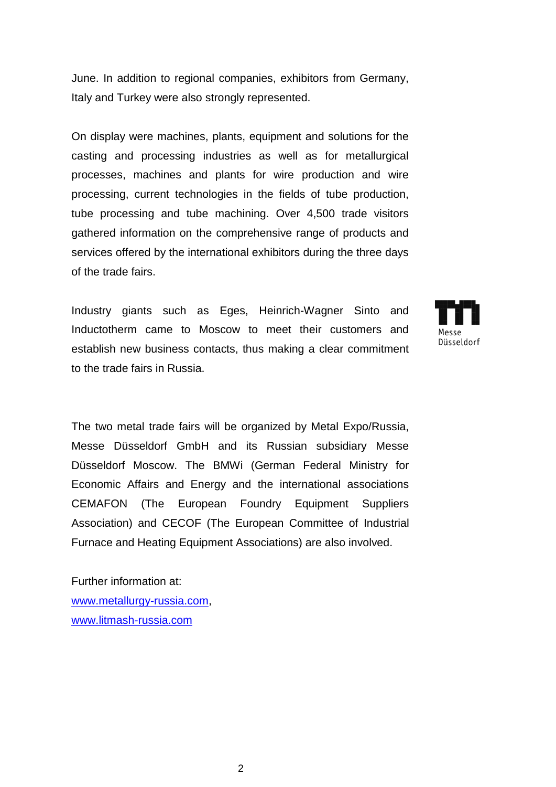June. In addition to regional companies, exhibitors from Germany, Italy and Turkey were also strongly represented.

On display were machines, plants, equipment and solutions for the casting and processing industries as well as for metallurgical processes, machines and plants for wire production and wire processing, current technologies in the fields of tube production, tube processing and tube machining. Over 4,500 trade visitors gathered information on the comprehensive range of products and services offered by the international exhibitors during the three days of the trade fairs.

Industry giants such as Eges, Heinrich-Wagner Sinto and Inductotherm came to Moscow to meet their customers and establish new business contacts, thus making a clear commitment to the trade fairs in Russia.



The two metal trade fairs will be organized by Metal Expo/Russia, Messe Düsseldorf GmbH and its Russian subsidiary Messe Düsseldorf Moscow. The BMWi (German Federal Ministry for Economic Affairs and Energy and the international associations CEMAFON (The European Foundry Equipment Suppliers Association) and CECOF (The European Committee of Industrial Furnace and Heating Equipment Associations) are also involved.

Further information at: [www.metallurgy-russia.com,](http://www.metallurgy-russia.com/) [www.litmash-russia.com](http://www.litmash-russia.com/)